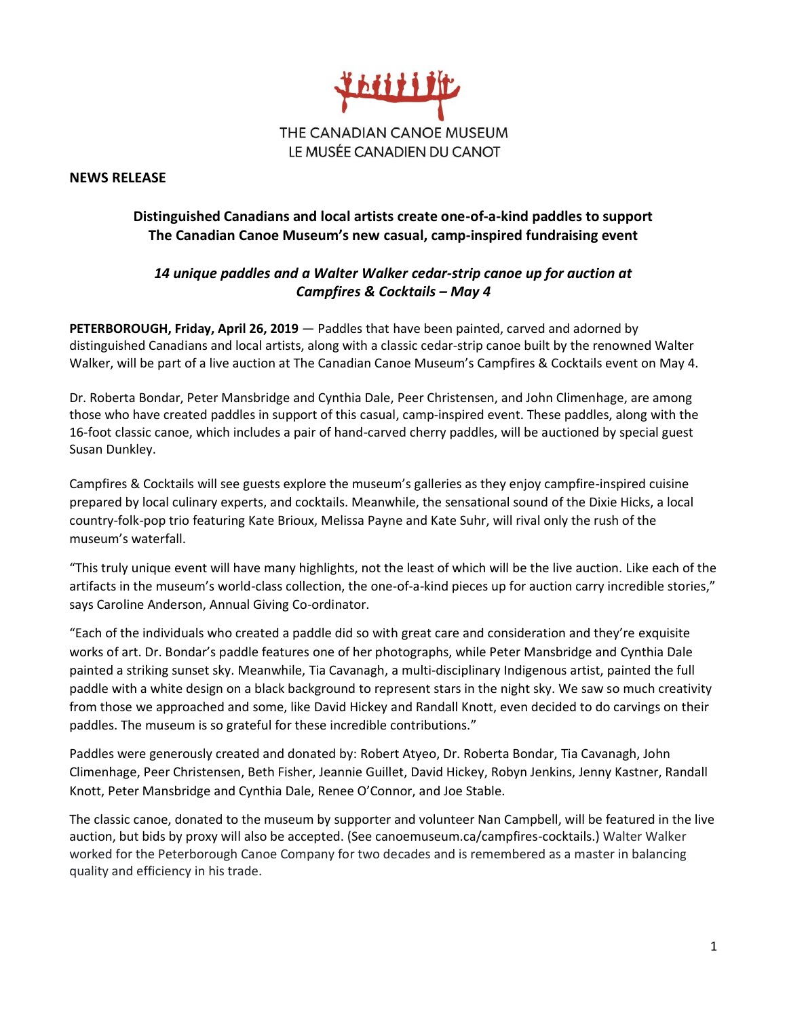

**NEWS RELEASE**

## **Distinguished Canadians and local artists create one-of-a-kind paddles to support The Canadian Canoe Museum's new casual, camp-inspired fundraising event**

## *14 unique paddles and a Walter Walker cedar-strip canoe up for auction at Campfires & Cocktails – May 4*

**PETERBOROUGH, Friday, April 26, 2019** — Paddles that have been painted, carved and adorned by distinguished Canadians and local artists, along with a classic cedar-strip canoe built by the renowned Walter Walker, will be part of a live auction at The Canadian Canoe Museum's Campfires & Cocktails event on May 4.

Dr. Roberta Bondar, Peter Mansbridge and Cynthia Dale, Peer Christensen, and John Climenhage, are among those who have created paddles in support of this casual, camp-inspired event. These paddles, along with the 16-foot classic canoe, which includes a pair of hand-carved cherry paddles, will be auctioned by special guest Susan Dunkley.

Campfires & Cocktails will see guests explore the museum's galleries as they enjoy campfire-inspired cuisine prepared by local culinary experts, and cocktails. Meanwhile, the sensational sound of the Dixie Hicks, a local country-folk-pop trio featuring Kate Brioux, Melissa Payne and Kate Suhr, will rival only the rush of the museum's waterfall.

"This truly unique event will have many highlights, not the least of which will be the live auction. Like each of the artifacts in the museum's world-class collection, the one-of-a-kind pieces up for auction carry incredible stories," says Caroline Anderson, Annual Giving Co-ordinator.

"Each of the individuals who created a paddle did so with great care and consideration and they're exquisite works of art. Dr. Bondar's paddle features one of her photographs, while Peter Mansbridge and Cynthia Dale painted a striking sunset sky. Meanwhile, Tia Cavanagh, a multi-disciplinary Indigenous artist, painted the full paddle with a white design on a black background to represent stars in the night sky. We saw so much creativity from those we approached and some, like David Hickey and Randall Knott, even decided to do carvings on their paddles. The museum is so grateful for these incredible contributions."

Paddles were generously created and donated by: Robert Atyeo, Dr. Roberta Bondar, Tia Cavanagh, John Climenhage, Peer Christensen, Beth Fisher, Jeannie Guillet, David Hickey, Robyn Jenkins, Jenny Kastner, Randall Knott, Peter Mansbridge and Cynthia Dale, Renee O'Connor, and Joe Stable.

The classic canoe, donated to the museum by supporter and volunteer Nan Campbell, will be featured in the live auction, but bids by proxy will also be accepted. (See canoemuseum.ca/campfires-cocktails.) Walter Walker worked for the Peterborough Canoe Company for two decades and is remembered as a master in balancing quality and efficiency in his trade.